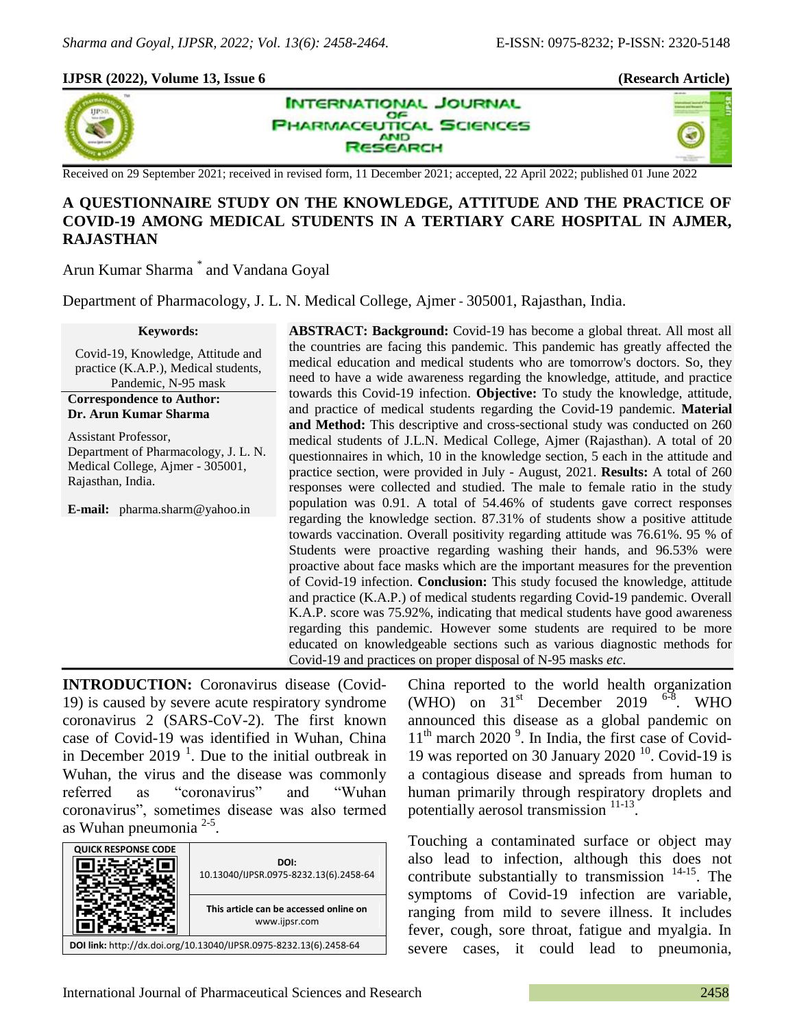## **IJPSR (2022), Volume 13, Issue 6 (Research Article)**



**INTERNATIONAL JOURNAL** OF UTICAL SCIENCES **AND** SEARCH



Received on 29 September 2021; received in revised form, 11 December 2021; accepted, 22 April 2022; published 01 June 2022

# **A QUESTIONNAIRE STUDY ON THE KNOWLEDGE, ATTITUDE AND THE PRACTICE OF COVID-19 AMONG MEDICAL STUDENTS IN A TERTIARY CARE HOSPITAL IN AJMER, RAJASTHAN**

Arun Kumar Sharma \* and Vandana Goyal

Department of Pharmacology, J. L. N. Medical College, Ajmer - 305001, Rajasthan, India.

**Keywords:**

Covid-19, Knowledge, Attitude and practice (K.A.P.), Medical students, Pandemic, N-95 mask

**Correspondence to Author: Dr. Arun Kumar Sharma**

Assistant Professor, Department of Pharmacology, J. L. N. Medical College, Ajmer - 305001, Rajasthan, India.

**E-mail:** pharma.sharm@yahoo.in

**ABSTRACT: Background:** Covid-19 has become a global threat. All most all the countries are facing this pandemic. This pandemic has greatly affected the medical education and medical students who are tomorrow's doctors. So, they need to have a wide awareness regarding the knowledge, attitude, and practice towards this Covid-19 infection. **Objective:** To study the knowledge, attitude, and practice of medical students regarding the Covid**-**19 pandemic. **Material and Method:** This descriptive and cross-sectional study was conducted on 260 medical students of J.L.N. Medical College, Ajmer (Rajasthan). A total of 20 questionnaires in which, 10 in the knowledge section, 5 each in the attitude and practice section, were provided in July - August, 2021. **Results:** A total of 260 responses were collected and studied. The male to female ratio in the study population was 0.91. A total of 54.46% of students gave correct responses regarding the knowledge section. 87.31% of students show a positive attitude towards vaccination. Overall positivity regarding attitude was 76.61%. 95 % of Students were proactive regarding washing their hands, and 96.53% were proactive about face masks which are the important measures for the prevention of Covid-19 infection. **Conclusion:** This study focused the knowledge, attitude and practice (K.A.P.) of medical students regarding Covid**-**19 pandemic. Overall K.A.P. score was 75.92%, indicating that medical students have good awareness regarding this pandemic. However some students are required to be more educated on knowledgeable sections such as various diagnostic methods for Covid-19 and practices on proper disposal of N-95 masks *etc*.

**INTRODUCTION:** Coronavirus disease (Covid-19) is caused by severe acute respiratory syndrome coronavirus 2 (SARS-CoV-2). The first known case of Covid-19 was identified in Wuhan, China in December 2019<sup>1</sup>. Due to the initial outbreak in Wuhan, the virus and the disease was commonly referred as "coronavirus" and "Wuhan coronavirus", sometimes disease was also termed as Wuhan pneumonia  $2-5$ .

| <b>QUICK RESPONSE CODE</b>                                         | DOI:<br>10.13040/IJPSR.0975-8232.13(6).2458-64          |  |  |
|--------------------------------------------------------------------|---------------------------------------------------------|--|--|
|                                                                    | This article can be accessed online on<br>www.ijpsr.com |  |  |
| DOI link: http://dx.doi.org/10.13040/IJPSR.0975-8232.13(6).2458-64 |                                                         |  |  |

China reported to the world health organization (WHO) on  $31<sup>st</sup>$  December 2019  $6-8$ . WHO announced this disease as a global pandemic on 11<sup>th</sup> march 2020<sup>9</sup>. In India, the first case of Covid-19 was reported on 30 January  $2020<sup>10</sup>$ . Covid-19 is a contagious disease and spreads from human to human primarily through respiratory droplets and potentially aerosol transmission <sup>11-13</sup>.

Touching a contaminated surface or object may also lead to infection, although this does not contribute substantially to transmission  $14-15$ . The symptoms of Covid-19 infection are variable, ranging from mild to severe illness. It includes fever, cough, sore throat, fatigue and myalgia. In severe cases, it could lead to pneumonia,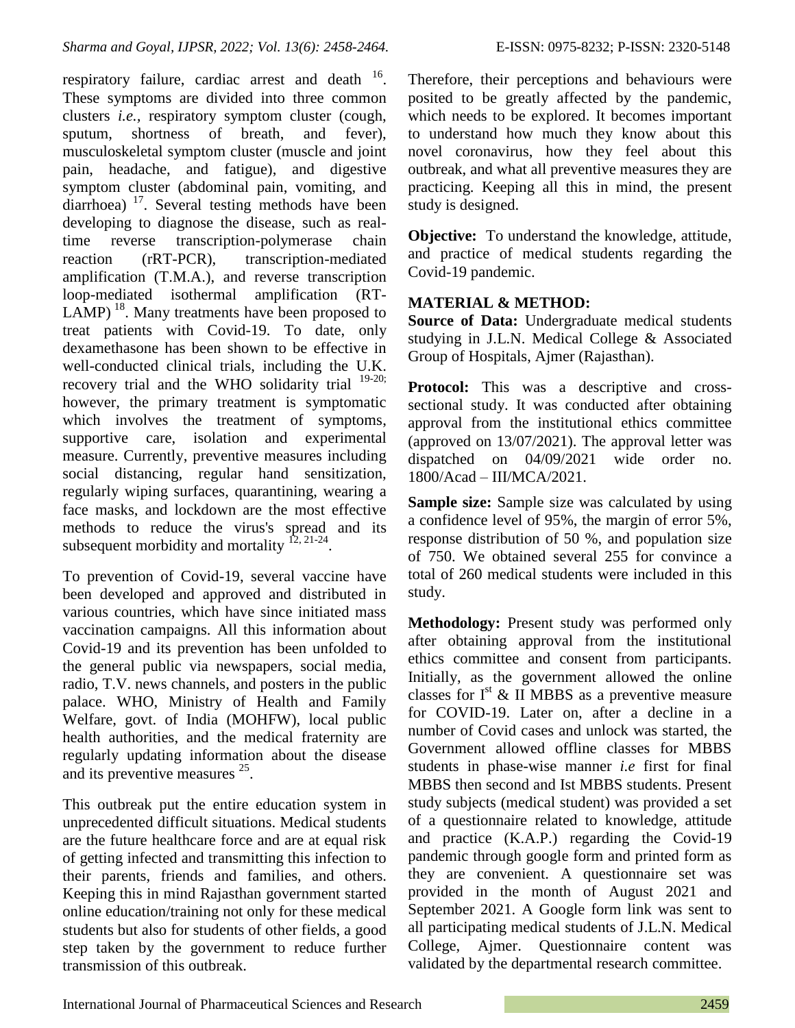respiratory failure, cardiac arrest and death  $16$ . These symptoms are divided into three common clusters *i.e.,* respiratory symptom cluster (cough, sputum, shortness of breath, and fever), musculoskeletal symptom cluster (muscle and joint pain, headache, and fatigue), and digestive symptom cluster (abdominal pain, vomiting, and diarrhoea) <sup>17</sup> . Several testing methods have been developing to diagnose the disease, such as realtime reverse transcription-polymerase chain reaction (rRT-PCR), transcription-mediated amplification (T.M.A.), and reverse transcription loop-mediated isothermal amplification (RT- $LAMP$ )<sup>18</sup>. Many treatments have been proposed to treat patients with Covid-19. To date, only dexamethasone has been shown to be effective in well-conducted clinical trials, including the U.K. recovery trial and the WHO solidarity trial  $19-20$ ; however, the primary treatment is symptomatic which involves the treatment of symptoms, supportive care, isolation and experimental measure. Currently, preventive measures including social distancing, regular hand sensitization, regularly wiping surfaces, quarantining, wearing a face masks, and lockdown are the most effective methods to reduce the virus's spread and its subsequent morbidity and mortality  $^{12, 21-24}$ .

To prevention of Covid-19, several vaccine have been developed and approved and distributed in various countries, which have since initiated mass vaccination campaigns. All this information about Covid-19 and its prevention has been unfolded to the general public via newspapers, social media, radio, T.V. news channels, and posters in the public palace. WHO, Ministry of Health and Family Welfare, govt. of India (MOHFW), local public health authorities, and the medical fraternity are regularly updating information about the disease and its preventive measures <sup>25</sup>.

This outbreak put the entire education system in unprecedented difficult situations. Medical students are the future healthcare force and are at equal risk of getting infected and transmitting this infection to their parents, friends and families, and others. Keeping this in mind Rajasthan government started online education/training not only for these medical students but also for students of other fields, a good step taken by the government to reduce further transmission of this outbreak.

Therefore, their perceptions and behaviours were posited to be greatly affected by the pandemic, which needs to be explored. It becomes important to understand how much they know about this novel coronavirus, how they feel about this outbreak, and what all preventive measures they are practicing. Keeping all this in mind, the present study is designed.

**Objective:** To understand the knowledge, attitude, and practice of medical students regarding the Covid-19 pandemic.

# **MATERIAL & METHOD:**

**Source of Data:** Undergraduate medical students studying in J.L.N. Medical College & Associated Group of Hospitals, Ajmer (Rajasthan).

**Protocol:** This was a descriptive and crosssectional study. It was conducted after obtaining approval from the institutional ethics committee (approved on 13/07/2021). The approval letter was dispatched on 04/09/2021 wide order no. 1800/Acad – III/MCA/2021.

**Sample size:** Sample size was calculated by using a confidence level of 95%, the margin of error 5%, response distribution of 50 %, and population size of 750. We obtained several 255 for convince a total of 260 medical students were included in this study.

**Methodology:** Present study was performed only after obtaining approval from the institutional ethics committee and consent from participants. Initially, as the government allowed the online classes for  $I<sup>st</sup>$  & II MBBS as a preventive measure for COVID-19. Later on, after a decline in a number of Covid cases and unlock was started, the Government allowed offline classes for MBBS students in phase-wise manner *i.e* first for final MBBS then second and Ist MBBS students. Present study subjects (medical student) was provided a set of a questionnaire related to knowledge, attitude and practice (K.A.P.) regarding the Covid-19 pandemic through google form and printed form as they are convenient. A questionnaire set was provided in the month of August 2021 and September 2021. A Google form link was sent to all participating medical students of J.L.N. Medical College, Ajmer. Questionnaire content was validated by the departmental research committee.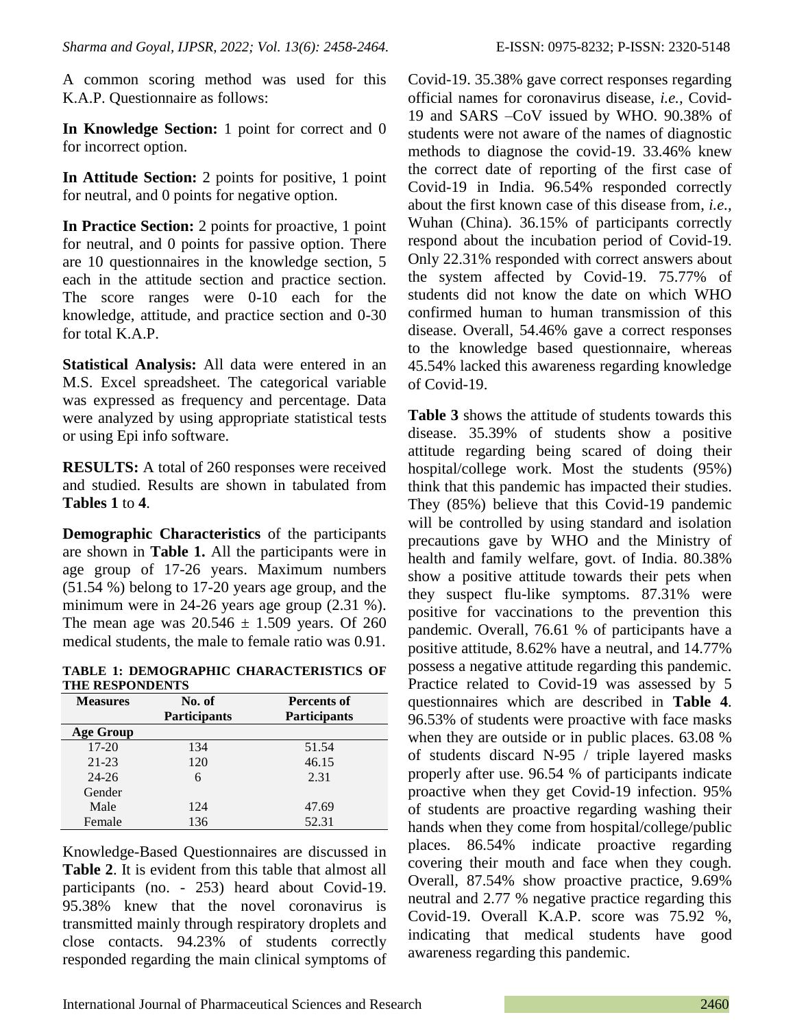A common scoring method was used for this K.A.P. Questionnaire as follows:

**In Knowledge Section:** 1 point for correct and 0 for incorrect option.

**In Attitude Section:** 2 points for positive, 1 point for neutral, and 0 points for negative option.

**In Practice Section:** 2 points for proactive, 1 point for neutral, and 0 points for passive option. There are 10 questionnaires in the knowledge section, 5 each in the attitude section and practice section. The score ranges were 0-10 each for the knowledge, attitude, and practice section and 0-30 for total K.A.P.

**Statistical Analysis:** All data were entered in an M.S. Excel spreadsheet. The categorical variable was expressed as frequency and percentage. Data were analyzed by using appropriate statistical tests or using Epi info software.

**RESULTS:** A total of 260 responses were received and studied. Results are shown in tabulated from **Tables 1** to **4**.

**Demographic Characteristics** of the participants are shown in **Table 1.** All the participants were in age group of 17-26 years. Maximum numbers (51.54 %) belong to 17-20 years age group, and the minimum were in 24-26 years age group (2.31 %). The mean age was  $20.546 \pm 1.509$  years. Of 260 medical students, the male to female ratio was 0.91.

**TABLE 1: DEMOGRAPHIC CHARACTERISTICS OF THE RESPONDENTS**

| <b>Measures</b>  | No. of              | Percents of         |  |  |
|------------------|---------------------|---------------------|--|--|
|                  | <b>Participants</b> | <b>Participants</b> |  |  |
| <b>Age Group</b> |                     |                     |  |  |
| $17 - 20$        | 134                 | 51.54               |  |  |
| $21 - 23$        | 120                 | 46.15               |  |  |
| $24 - 26$        | 6                   | 2.31                |  |  |
| Gender           |                     |                     |  |  |
| Male             | 124                 | 47.69               |  |  |
| Female           | 136                 | 52.31               |  |  |

Knowledge-Based Questionnaires are discussed in **Table 2**. It is evident from this table that almost all participants (no. - 253) heard about Covid-19. 95.38% knew that the novel coronavirus is transmitted mainly through respiratory droplets and close contacts. 94.23% of students correctly responded regarding the main clinical symptoms of Covid-19. 35.38% gave correct responses regarding official names for coronavirus disease, *i.e.,* Covid-19 and SARS –CoV issued by WHO. 90.38% of students were not aware of the names of diagnostic methods to diagnose the covid-19. 33.46% knew the correct date of reporting of the first case of Covid-19 in India. 96.54% responded correctly about the first known case of this disease from, *i.e.,* Wuhan (China). 36.15% of participants correctly respond about the incubation period of Covid-19. Only 22.31% responded with correct answers about the system affected by Covid-19. 75.77% of students did not know the date on which WHO confirmed human to human transmission of this disease. Overall, 54.46% gave a correct responses to the knowledge based questionnaire, whereas 45.54% lacked this awareness regarding knowledge of Covid-19.

**Table 3** shows the attitude of students towards this disease. 35.39% of students show a positive attitude regarding being scared of doing their hospital/college work. Most the students (95%) think that this pandemic has impacted their studies. They (85%) believe that this Covid-19 pandemic will be controlled by using standard and isolation precautions gave by WHO and the Ministry of health and family welfare, govt. of India. 80.38% show a positive attitude towards their pets when they suspect flu-like symptoms. 87.31% were positive for vaccinations to the prevention this pandemic. Overall, 76.61 % of participants have a positive attitude, 8.62% have a neutral, and 14.77% possess a negative attitude regarding this pandemic. Practice related to Covid-19 was assessed by 5 questionnaires which are described in **Table 4**. 96.53% of students were proactive with face masks when they are outside or in public places. 63.08 % of students discard N-95 / triple layered masks properly after use. 96.54 % of participants indicate proactive when they get Covid-19 infection. 95% of students are proactive regarding washing their hands when they come from hospital/college/public places. 86.54% indicate proactive regarding covering their mouth and face when they cough. Overall, 87.54% show proactive practice, 9.69% neutral and 2.77 % negative practice regarding this Covid-19. Overall K.A.P. score was 75.92 %, indicating that medical students have good awareness regarding this pandemic.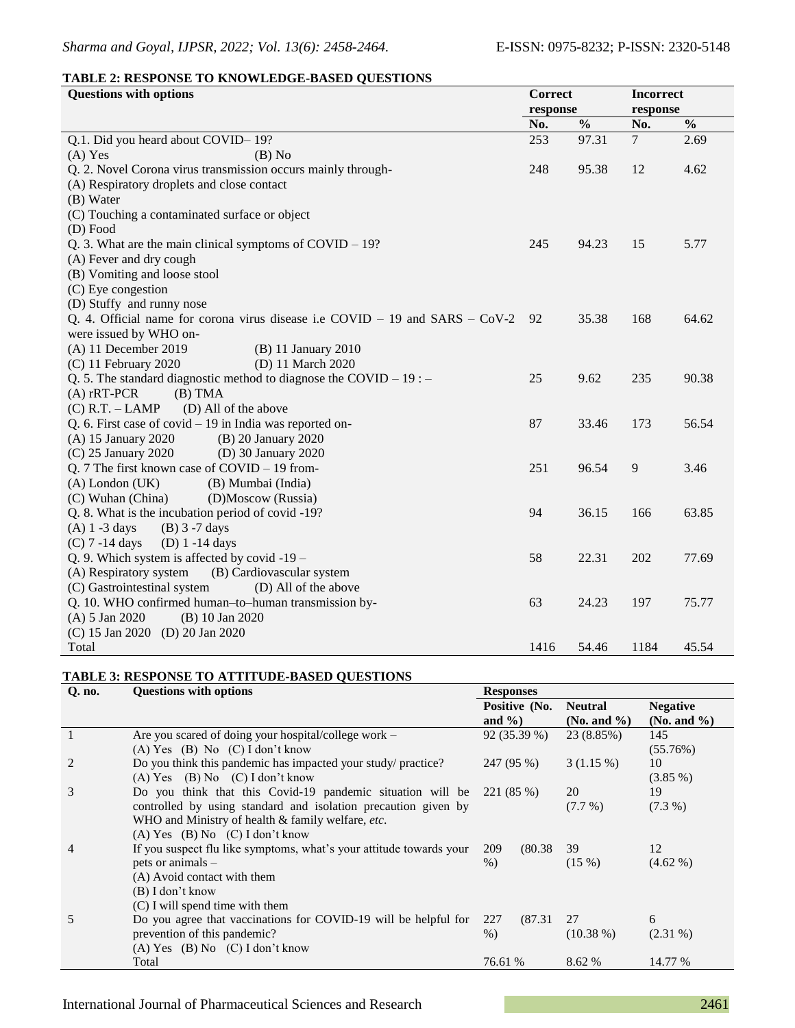## **TABLE 2: RESPONSE TO KNOWLEDGE-BASED QUESTIONS**

| <b>Questions with options</b>                                                   |          | <b>Correct</b> |          | <b>Incorrect</b> |  |
|---------------------------------------------------------------------------------|----------|----------------|----------|------------------|--|
|                                                                                 | response |                | response |                  |  |
|                                                                                 | No.      | $\frac{0}{0}$  | No.      | $\frac{0}{0}$    |  |
| Q.1. Did you heard about COVID-19?                                              | 253      | 97.31          | 7        | 2.69             |  |
| $(A)$ Yes<br>$(B)$ No                                                           |          |                |          |                  |  |
| Q. 2. Novel Corona virus transmission occurs mainly through-                    | 248      | 95.38          | 12       | 4.62             |  |
| (A) Respiratory droplets and close contact                                      |          |                |          |                  |  |
| (B) Water                                                                       |          |                |          |                  |  |
| (C) Touching a contaminated surface or object                                   |          |                |          |                  |  |
| (D) Food                                                                        |          |                |          |                  |  |
| Q. 3. What are the main clinical symptoms of $COVID - 19$ ?                     | 245      | 94.23          | 15       | 5.77             |  |
| (A) Fever and dry cough                                                         |          |                |          |                  |  |
| (B) Vomiting and loose stool                                                    |          |                |          |                  |  |
| (C) Eye congestion                                                              |          |                |          |                  |  |
| (D) Stuffy and runny nose                                                       |          |                |          |                  |  |
| Q. 4. Official name for corona virus disease i.e COVID – 19 and SARS – CoV-2 92 |          | 35.38          | 168      | 64.62            |  |
| were issued by WHO on-                                                          |          |                |          |                  |  |
| (A) 11 December 2019<br>(B) 11 January 2010                                     |          |                |          |                  |  |
| $(C)$ 11 February 2020<br>(D) 11 March 2020                                     |          |                |          |                  |  |
| Q. 5. The standard diagnostic method to diagnose the COVID – $19:$ –            | 25       | 9.62           | 235      | 90.38            |  |
| $(A)$ rRT-PCR<br>$(B)$ TMA                                                      |          |                |          |                  |  |
| $(C)$ R.T. $-LAMP$<br>(D) All of the above                                      |          |                |          |                  |  |
| Q. 6. First case of covid $-19$ in India was reported on-                       | 87       | 33.46          | 173      | 56.54            |  |
| (B) 20 January 2020<br>(A) 15 January 2020                                      |          |                |          |                  |  |
| (C) 25 January 2020<br>(D) 30 January 2020                                      |          |                |          |                  |  |
| Q. 7 The first known case of $COVID - 19$ from-                                 | 251      | 96.54          | 9        | 3.46             |  |
| $(A)$ London $(UK)$<br>(B) Mumbai (India)                                       |          |                |          |                  |  |
| (C) Wuhan (China)<br>(D)Moscow (Russia)                                         |          |                |          |                  |  |
| Q. 8. What is the incubation period of covid -19?                               | 94       | 36.15          | 166      | 63.85            |  |
| $(A)$ 1 -3 days<br>$(B)$ 3 -7 days                                              |          |                |          |                  |  |
| (D) $1 - 14$ days<br>$(C)$ 7 -14 days                                           |          |                |          |                  |  |
| Q. 9. Which system is affected by covid $-19 -$                                 | 58       | 22.31          | 202      | 77.69            |  |
| (A) Respiratory system<br>(B) Cardiovascular system                             |          |                |          |                  |  |
| (C) Gastrointestinal system<br>(D) All of the above                             |          |                |          |                  |  |
| Q. 10. WHO confirmed human-to-human transmission by-                            | 63       | 24.23          | 197      | 75.77            |  |
| $(A) 5$ Jan 2020<br>(B) 10 Jan 2020                                             |          |                |          |                  |  |
| (C) 15 Jan 2020 (D) 20 Jan 2020                                                 |          |                |          |                  |  |
| Total                                                                           | 1416     | 54.46          | 1184     | 45.54            |  |

### **TABLE 3: RESPONSE TO ATTITUDE-BASED QUESTIONS**

| Q. no. | <b>Questions with options</b>                                       | <b>Responses</b> |                |                 |
|--------|---------------------------------------------------------------------|------------------|----------------|-----------------|
|        |                                                                     | Positive (No.    | <b>Neutral</b> | <b>Negative</b> |
|        |                                                                     | and $\%$ )       | $(No. and \%)$ | $(No. and \%)$  |
|        | Are you scared of doing your hospital/college work $-$              | $92(35.39\%)$    | 23 (8.85%)     | 145             |
|        | $(A)$ Yes $(B)$ No $(C)$ I don't know                               |                  |                | (55.76%)        |
| 2      | Do you think this pandemic has impacted your study/ practice?       | 247 (95 %)       | $3(1.15\%)$    | 10              |
|        | $(A) Yes$ $(B) No$ $(C) Idon't know$                                |                  |                | $(3.85\%)$      |
| 3      | Do you think that this Covid-19 pandemic situation will be          | 221 (85 %)       | 20             | 19              |
|        | controlled by using standard and isolation precaution given by      |                  | $(7.7\%)$      | $(7.3\%)$       |
|        | WHO and Ministry of health & family welfare, etc.                   |                  |                |                 |
|        | $(A) Yes$ $(B) No$ $(C) I don't know$                               |                  |                |                 |
| 4      | If you suspect flu like symptoms, what's your attitude towards your | (80.38)<br>209   | 39             | 12              |
|        | pets or animals –                                                   | $\%$ )           | (15%)          | $(4.62\%)$      |
|        | (A) Avoid contact with them                                         |                  |                |                 |
|        | $(B)$ I don't know                                                  |                  |                |                 |
|        | (C) I will spend time with them                                     |                  |                |                 |
| 5      | Do you agree that vaccinations for COVID-19 will be helpful for     | 227<br>(87.31)   | 27             | 6               |
|        | prevention of this pandemic?                                        | $%$ )            | $(10.38\%)$    | $(2.31\%)$      |
|        | $(A)$ Yes $(B)$ No $(C)$ I don't know                               |                  |                |                 |
|        | Total                                                               | 76.61 %          | 8.62 %         | 14.77 %         |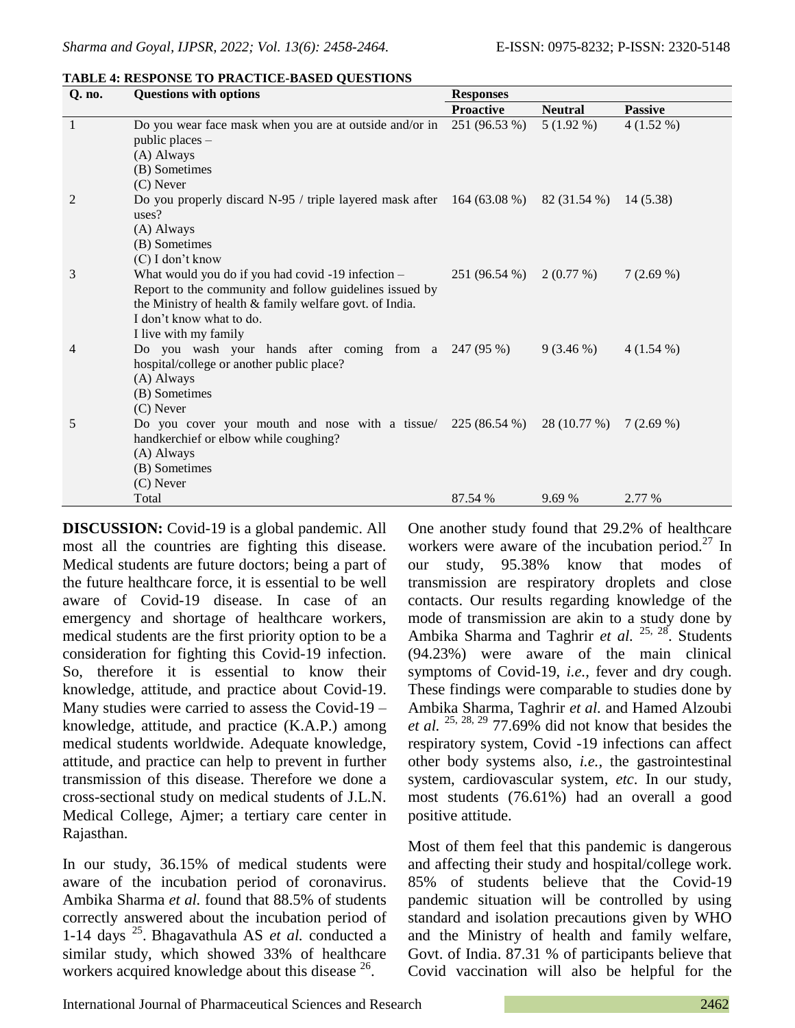| Q. no.         | <b>Questions with options</b>                                                                      | <b>Responses</b> |                |                |
|----------------|----------------------------------------------------------------------------------------------------|------------------|----------------|----------------|
|                |                                                                                                    | <b>Proactive</b> | <b>Neutral</b> | <b>Passive</b> |
| $\overline{1}$ | Do you wear face mask when you are at outside and/or in $251 (96.53 %)$                            |                  | $5(1.92\%)$    | $4(1.52\%)$    |
|                | public places –                                                                                    |                  |                |                |
|                | (A) Always                                                                                         |                  |                |                |
|                | (B) Sometimes                                                                                      |                  |                |                |
|                | $(C)$ Never                                                                                        |                  |                |                |
| 2              | Do you properly discard N-95 / triple layered mask after $164 (63.08%)$ 82 (31.54 %)               |                  |                | 14 (5.38)      |
|                | uses?                                                                                              |                  |                |                |
|                | (A) Always                                                                                         |                  |                |                |
|                | (B) Sometimes                                                                                      |                  |                |                |
|                | $(C)$ I don't know                                                                                 |                  |                |                |
| 3              | What would you do if you had covid -19 infection -                                                 | 251 (96.54 %)    | 2(0.77%)       | 7(2.69%)       |
|                | Report to the community and follow guidelines issued by                                            |                  |                |                |
|                | the Ministry of health & family welfare govt. of India.<br>I don't know what to do.                |                  |                |                |
|                |                                                                                                    |                  |                |                |
| 4              | I live with my family                                                                              |                  | $9(3.46\%)$    | $4(1.54\%)$    |
|                | Do you wash your hands after coming from a 247 (95 %)<br>hospital/college or another public place? |                  |                |                |
|                | (A) Always                                                                                         |                  |                |                |
|                | (B) Sometimes                                                                                      |                  |                |                |
|                | $(C)$ Never                                                                                        |                  |                |                |
| 5              | Do you cover your mouth and nose with a tissue $225(86.54\%)$                                      |                  | 28 (10.77 %)   | $7(2.69\%)$    |
|                | handkerchief or elbow while coughing?                                                              |                  |                |                |
|                | (A) Always                                                                                         |                  |                |                |
|                | (B) Sometimes                                                                                      |                  |                |                |
|                | $(C)$ Never                                                                                        |                  |                |                |
|                | Total                                                                                              | 87.54 %          | 9.69 %         | 2.77 %         |

### **TABLE 4: RESPONSE TO PRACTICE-BASED QUESTIONS**

**DISCUSSION:** Covid-19 is a global pandemic. All most all the countries are fighting this disease. Medical students are future doctors; being a part of the future healthcare force, it is essential to be well aware of Covid-19 disease. In case of an emergency and shortage of healthcare workers, medical students are the first priority option to be a consideration for fighting this Covid-19 infection. So, therefore it is essential to know their knowledge, attitude, and practice about Covid-19. Many studies were carried to assess the Covid-19 – knowledge, attitude, and practice (K.A.P.) among medical students worldwide. Adequate knowledge, attitude, and practice can help to prevent in further transmission of this disease. Therefore we done a cross-sectional study on medical students of J.L.N. Medical College, Ajmer; a tertiary care center in Rajasthan.

In our study, 36.15% of medical students were aware of the incubation period of coronavirus. Ambika Sharma *et al.* found that 88.5% of students correctly answered about the incubation period of 1-14 days <sup>25</sup> . Bhagavathula AS *et al.* conducted a similar study, which showed 33% of healthcare workers acquired knowledge about this disease <sup>26</sup>.

One another study found that 29.2% of healthcare workers were aware of the incubation period. $27 \text{ In}$ our study, 95.38% know that modes of transmission are respiratory droplets and close contacts. Our results regarding knowledge of the mode of transmission are akin to a study done by Ambika Sharma and Taghrir et al. <sup>25, 28</sup>. Students (94.23%) were aware of the main clinical symptoms of Covid-19, *i.e.,* fever and dry cough. These findings were comparable to studies done by Ambika Sharma, Taghrir *et al.* and Hamed Alzoubi *et al.* 25, 28, 29 77.69% did not know that besides the respiratory system, Covid -19 infections can affect other body systems also, *i.e.,* the gastrointestinal system, cardiovascular system, *etc*. In our study, most students (76.61%) had an overall a good positive attitude.

Most of them feel that this pandemic is dangerous and affecting their study and hospital/college work. 85% of students believe that the Covid-19 pandemic situation will be controlled by using standard and isolation precautions given by WHO and the Ministry of health and family welfare, Govt. of India. 87.31 % of participants believe that Covid vaccination will also be helpful for the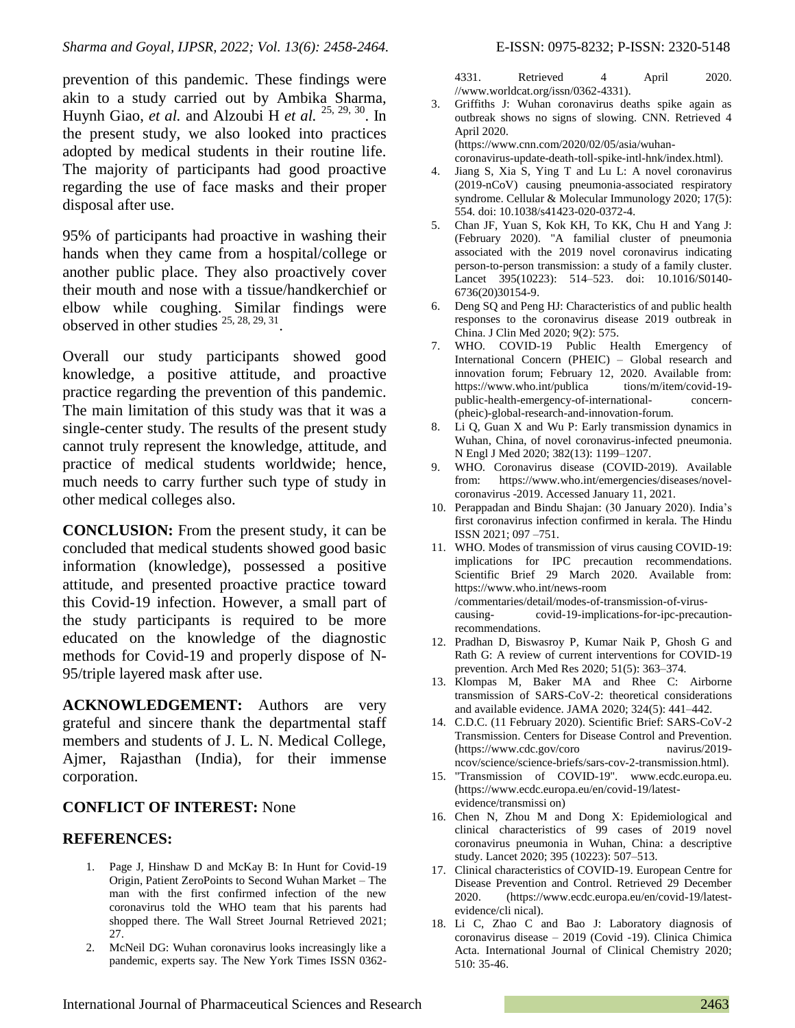prevention of this pandemic. These findings were akin to a study carried out by Ambika Sharma, Huynh Giao, *et al.* and Alzoubi H *et al.* 25, 29, 30. In the present study, we also looked into practices adopted by medical students in their routine life. The majority of participants had good proactive regarding the use of face masks and their proper disposal after use.

95% of participants had proactive in washing their hands when they came from a hospital/college or another public place. They also proactively cover their mouth and nose with a tissue/handkerchief or elbow while coughing. Similar findings were observed in other studies  $25, 28, 29, 31$ .

Overall our study participants showed good knowledge, a positive attitude, and proactive practice regarding the prevention of this pandemic. The main limitation of this study was that it was a single-center study. The results of the present study cannot truly represent the knowledge, attitude, and practice of medical students worldwide; hence, much needs to carry further such type of study in other medical colleges also.

**CONCLUSION:** From the present study, it can be concluded that medical students showed good basic information (knowledge), possessed a positive attitude, and presented proactive practice toward this Covid-19 infection. However, a small part of the study participants is required to be more educated on the knowledge of the diagnostic methods for Covid-19 and properly dispose of N-95/triple layered mask after use.

**ACKNOWLEDGEMENT:** Authors are very grateful and sincere thank the departmental staff members and students of J. L. N. Medical College, Ajmer, Rajasthan (India), for their immense corporation.

### **CONFLICT OF INTEREST:** None

### **REFERENCES:**

- 1. Page J, Hinshaw D and McKay B: In Hunt for Covid-19 Origin, Patient ZeroPoints to Second Wuhan Market – The man with the first confirmed infection of the new coronavirus told the WHO team that his parents had shopped there. The Wall Street Journal Retrieved 2021; 27.
- 2. McNeil DG: Wuhan coronavirus looks increasingly like a pandemic, experts say. The New York Times ISSN 0362-

4331. Retrieved 4 April 2020. //www.worldcat.org/issn/0362-4331).

3. Griffiths J: Wuhan coronavirus deaths spike again as outbreak shows no signs of slowing. CNN. Retrieved 4 April 2020. (https://www.cnn.com/2020/02/05/asia/wuhan-

coronavirus-update-death-toll-spike-intl-hnk/index.html).

- Jiang S, Xia S, Ying T and Lu L: A novel coronavirus (2019-nCoV) causing pneumonia-associated respiratory syndrome. Cellular & Molecular Immunology 2020; 17(5): 554. doi: 10.1038/s41423-020-0372-4.
- 5. Chan JF, Yuan S, Kok KH, To KK, Chu H and Yang J: (February 2020). "A familial cluster of pneumonia associated with the 2019 novel coronavirus indicating person-to-person transmission: a study of a family cluster. Lancet 395(10223): 514–523. doi: 10.1016/S0140- 6736(20)30154-9.
- 6. Deng SQ and Peng HJ: Characteristics of and public health responses to the coronavirus disease 2019 outbreak in China. J Clin Med 2020; 9(2): 575.
- 7. WHO. COVID-19 Public Health Emergency of International Concern (PHEIC) – Global research and innovation forum; February 12, 2020. Available from: https://www.who.int/publica tions/m/item/covid-19 public-health-emergency-of-international- concern- (pheic)-global-research-and-innovation-forum.
- 8. Li Q, Guan X and Wu P: Early transmission dynamics in Wuhan, China, of novel coronavirus-infected pneumonia. N Engl J Med 2020; 382(13): 1199–1207.
- 9. WHO. Coronavirus disease (COVID-2019). Available from: https://www.who.int/emergencies/diseases/novelcoronavirus -2019. Accessed January 11, 2021.
- 10. Perappadan and Bindu Shajan: (30 January 2020). India's first coronavirus infection confirmed in kerala. The Hindu ISSN 2021; 097 –751.
- 11. WHO. Modes of transmission of virus causing COVID-19: implications for IPC precaution recommendations. Scientific Brief 29 March 2020. Available from: https://www.who.int/news-room /commentaries/detail/modes-of-transmission-of-viruscausing- covid-19-implications-for-ipc-precautionrecommendations.
- 12. Pradhan D, Biswasroy P, Kumar Naik P, Ghosh G and Rath G: A review of current interventions for COVID-19 prevention. Arch Med Res 2020; 51(5): 363–374.
- 13. Klompas M, Baker MA and Rhee C: Airborne transmission of SARS-CoV-2: theoretical considerations and available evidence. JAMA 2020; 324(5): 441–442.
- 14. C.D.C. (11 February 2020). Scientific Brief: SARS-CoV-2 Transmission. Centers for Disease Control and Prevention. (https://www.cdc.gov/coro navirus/2019 ncov/science/science-briefs/sars-cov-2-transmission.html).
- 15. "Transmission of COVID-19". www.ecdc.europa.eu. (https://www.ecdc.europa.eu/en/covid-19/latestevidence/transmissi on)
- 16. Chen N, Zhou M and Dong X: Epidemiological and clinical characteristics of 99 cases of 2019 novel coronavirus pneumonia in Wuhan, China: a descriptive study. Lancet 2020; 395 (10223): 507–513.
- 17. Clinical characteristics of COVID-19. European Centre for Disease Prevention and Control. Retrieved 29 December 2020. (https://www.ecdc.europa.eu/en/covid-19/latestevidence/cli nical).
- 18. Li C, Zhao C and Bao J: Laboratory diagnosis of coronavirus disease – 2019 (Covid -19). Clinica Chimica Acta. International Journal of Clinical Chemistry 2020; 510: 35-46.